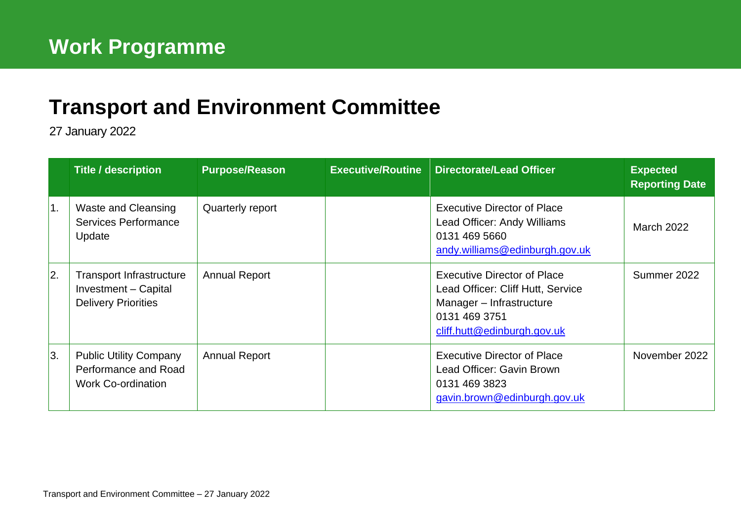## **[Transport and Environment](mailto:john.bury@edinburgh.gov.uk) Committee**

27 January 2022

|                  | <b>Title / description</b>                                                            | <b>Purpose/Reason</b> | <b>Executive/Routine Directorate/Lead Officer</b>                                                                                                   | <b>Expected</b><br><b>Reporting Date</b> |
|------------------|---------------------------------------------------------------------------------------|-----------------------|-----------------------------------------------------------------------------------------------------------------------------------------------------|------------------------------------------|
| $\overline{1}$ . | <b>Waste and Cleansing</b><br>Services Performance<br>Update                          | Quarterly report      | <b>Executive Director of Place</b><br>Lead Officer: Andy Williams<br>0131 469 5660<br>andy.williams@edinburgh.gov.uk                                | <b>March 2022</b>                        |
| 2.               | <b>Transport Infrastructure</b><br>Investment - Capital<br><b>Delivery Priorities</b> | <b>Annual Report</b>  | <b>Executive Director of Place</b><br>Lead Officer: Cliff Hutt, Service<br>Manager - Infrastructure<br>0131 469 3751<br>cliff.hutt@edinburgh.gov.uk | Summer 2022                              |
| 3.               | <b>Public Utility Company</b><br>Performance and Road<br><b>Work Co-ordination</b>    | <b>Annual Report</b>  | <b>Executive Director of Place</b><br>Lead Officer: Gavin Brown<br>0131 469 3823<br>gavin.brown@edinburgh.gov.uk                                    | November 2022                            |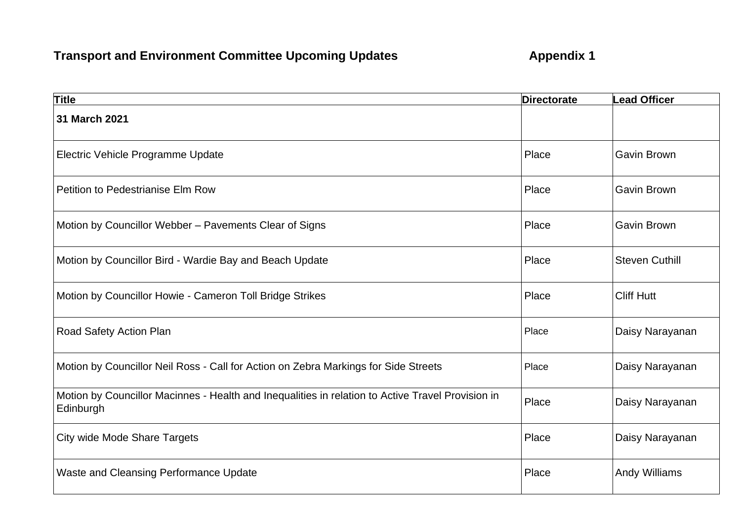## **Transport and Environment Committee Upcoming Updates <b>Appendix 1**

| <b>Title</b>                                                                                                   | <b>Directorate</b> | <b>Lead Officer</b>   |
|----------------------------------------------------------------------------------------------------------------|--------------------|-----------------------|
| 31 March 2021                                                                                                  |                    |                       |
| Electric Vehicle Programme Update                                                                              | Place              | <b>Gavin Brown</b>    |
| Petition to Pedestrianise Elm Row                                                                              | Place              | <b>Gavin Brown</b>    |
| Motion by Councillor Webber - Pavements Clear of Signs                                                         | Place              | <b>Gavin Brown</b>    |
| Motion by Councillor Bird - Wardie Bay and Beach Update                                                        | Place              | <b>Steven Cuthill</b> |
| Motion by Councillor Howie - Cameron Toll Bridge Strikes                                                       | Place              | <b>Cliff Hutt</b>     |
| Road Safety Action Plan                                                                                        | Place              | Daisy Narayanan       |
| Motion by Councillor Neil Ross - Call for Action on Zebra Markings for Side Streets                            | Place              | Daisy Narayanan       |
| Motion by Councillor Macinnes - Health and Inequalities in relation to Active Travel Provision in<br>Edinburgh | Place              | Daisy Narayanan       |
| <b>City wide Mode Share Targets</b>                                                                            | Place              | Daisy Narayanan       |
| Waste and Cleansing Performance Update                                                                         | Place              | <b>Andy Williams</b>  |